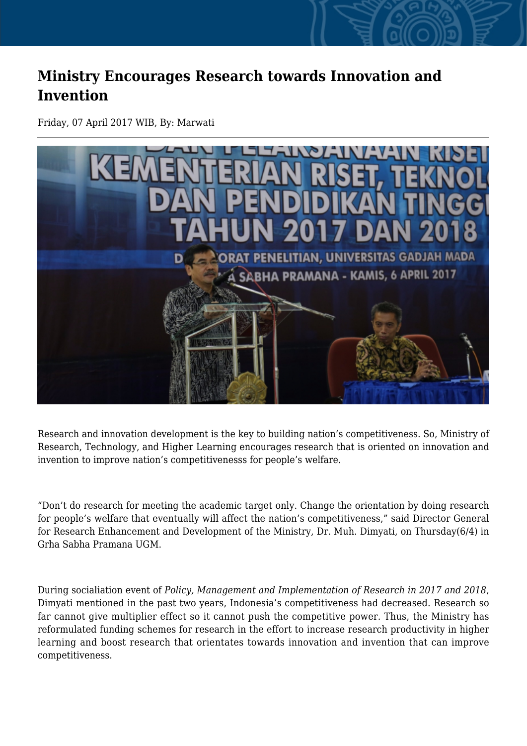## **Ministry Encourages Research towards Innovation and Invention**

Friday, 07 April 2017 WIB, By: Marwati



Research and innovation development is the key to building nation's competitiveness. So, Ministry of Research, Technology, and Higher Learning encourages research that is oriented on innovation and invention to improve nation's competitivenesss for people's welfare.

"Don't do research for meeting the academic target only. Change the orientation by doing research for people's welfare that eventually will affect the nation's competitiveness," said Director General for Research Enhancement and Development of the Ministry, Dr. Muh. Dimyati, on Thursday(6/4) in Grha Sabha Pramana UGM.

During socialiation event of *Policy, Management and Implementation of Research in 2017 and 2018*, Dimyati mentioned in the past two years, Indonesia's competitiveness had decreased. Research so far cannot give multiplier effect so it cannot push the competitive power. Thus, the Ministry has reformulated funding schemes for research in the effort to increase research productivity in higher learning and boost research that orientates towards innovation and invention that can improve competitiveness.